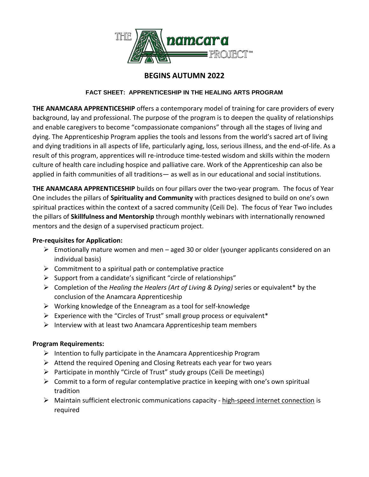

# **BEGINS AUTUMN 2022**

## **FACT SHEET: APPRENTICESHIP IN THE HEALING ARTS PROGRAM**

**THE ANAMCARA APPRENTICESHIP** offers a contemporary model of training for care providers of every background, lay and professional. The purpose of the program is to deepen the quality of relationships and enable caregivers to become "compassionate companions" through all the stages of living and dying. The Apprenticeship Program applies the tools and lessons from the world's sacred art of living and dying traditions in all aspects of life, particularly aging, loss, serious illness, and the end-of-life. As a result of this program, apprentices will re-introduce time-tested wisdom and skills within the modern culture of health care including hospice and palliative care. Work of the Apprenticeship can also be applied in faith communities of all traditions— as well as in our educational and social institutions.

**THE ANAMCARA APPRENTICESHIP** builds on four pillars over the two-year program. The focus of Year One includes the pillars of **Spirituality and Community** with practices designed to build on one's own spiritual practices within the context of a sacred community (Ceili De). The focus of Year Two includes the pillars of **Skillfulness and Mentorship** through monthly webinars with internationally renowned mentors and the design of a supervised practicum project.

## **Pre-requisites for Application:**

- $\triangleright$  Emotionally mature women and men aged 30 or older (younger applicants considered on an individual basis)
- $\triangleright$  Commitment to a spiritual path or contemplative practice
- $\triangleright$  Support from a candidate's significant "circle of relationships"
- Completion of the *Healing the Healers (Art of Living & Dying)* series or equivalent\* by the conclusion of the Anamcara Apprenticeship
- $\triangleright$  Working knowledge of the Enneagram as a tool for self-knowledge
- $\triangleright$  Experience with the "Circles of Trust" small group process or equivalent\*
- $\triangleright$  Interview with at least two Anamcara Apprenticeship team members

# **Program Requirements:**

- $\triangleright$  Intention to fully participate in the Anamcara Apprenticeship Program
- $\triangleright$  Attend the required Opening and Closing Retreats each year for two years
- $\triangleright$  Participate in monthly "Circle of Trust" study groups (Ceili De meetings)
- $\triangleright$  Commit to a form of regular contemplative practice in keeping with one's own spiritual tradition
- $\triangleright$  Maintain sufficient electronic communications capacity high-speed internet connection is required